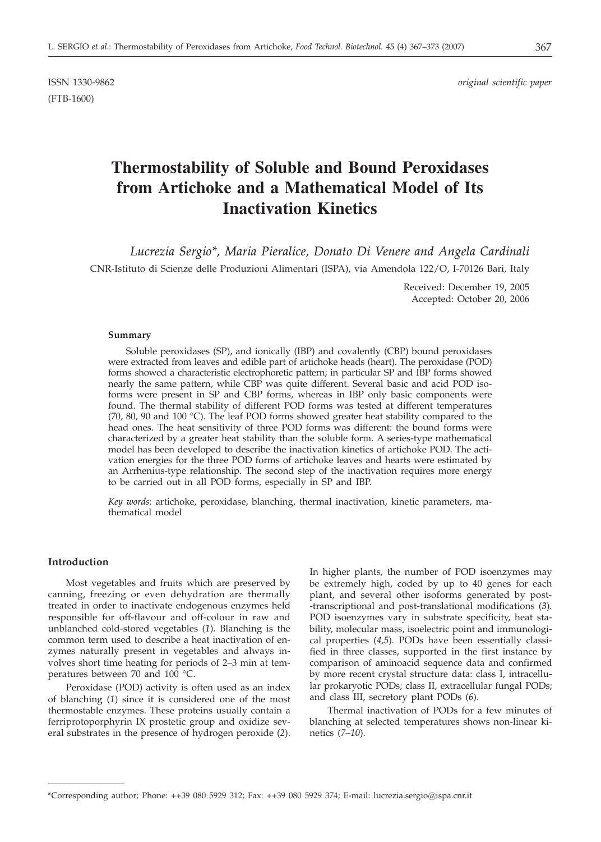(FTB-1600)

ISSN 1330-9862 *original scientific paper*

# **Thermostability of Soluble and Bound Peroxidases from Artichoke and a Mathematical Model of Its Inactivation Kinetics**

*Lucrezia Sergio\*, Maria Pieralice, Donato Di Venere and Angela Cardinali* CNR-Istituto di Scienze delle Produzioni Alimentari (ISPA), via Amendola 122/O, I-70126 Bari, Italy

> Received: December 19, 2005 Accepted: October 20, 2006

### **Summary**

Soluble peroxidases (SP), and ionically (IBP) and covalently (CBP) bound peroxidases were extracted from leaves and edible part of artichoke heads (heart). The peroxidase (POD) forms showed a characteristic electrophoretic pattern; in particular SP and IBP forms showed nearly the same pattern, while CBP was quite different. Several basic and acid POD isoforms were present in SP and CBP forms, whereas in IBP only basic components were found. The thermal stability of different POD forms was tested at different temperatures (70, 80, 90 and 100 °C). The leaf POD forms showed greater heat stability compared to the head ones. The heat sensitivity of three POD forms was different: the bound forms were characterized by a greater heat stability than the soluble form. A series-type mathematical model has been developed to describe the inactivation kinetics of artichoke POD. The activation energies for the three POD forms of artichoke leaves and hearts were estimated by an Arrhenius-type relationship. The second step of the inactivation requires more energy to be carried out in all POD forms, especially in SP and IBP.

*Key words*: artichoke, peroxidase, blanching, thermal inactivation, kinetic parameters, mathematical model

# **Introduction**

Most vegetables and fruits which are preserved by canning, freezing or even dehydration are thermally treated in order to inactivate endogenous enzymes held responsible for off-flavour and off-colour in raw and unblanched cold-stored vegetables (*1*). Blanching is the common term used to describe a heat inactivation of enzymes naturally present in vegetables and always involves short time heating for periods of 2–3 min at temperatures between 70 and 100 °C.

Peroxidase (POD) activity is often used as an index of blanching (*1*) since it is considered one of the most thermostable enzymes. These proteins usually contain a ferriprotoporphyrin IX prostetic group and oxidize several substrates in the presence of hydrogen peroxide (*2*).

In higher plants, the number of POD isoenzymes may be extremely high, coded by up to 40 genes for each plant, and several other isoforms generated by post- -transcriptional and post-translational modifications (*3*). POD isoenzymes vary in substrate specificity, heat stability, molecular mass, isoelectric point and immunological properties (*4,5*). PODs have been essentially classified in three classes, supported in the first instance by comparison of aminoacid sequence data and confirmed by more recent crystal structure data: class I, intracellular prokaryotic PODs; class II, extracellular fungal PODs; and class III, secretory plant PODs (*6*).

Thermal inactivation of PODs for a few minutes of blanching at selected temperatures shows non-linear kinetics (*7–10*).

<sup>\*</sup>Corresponding author; Phone: ++39 080 5929 312; Fax: ++39 080 5929 374; E-mail: lucrezia.sergio@ispa.cnr.it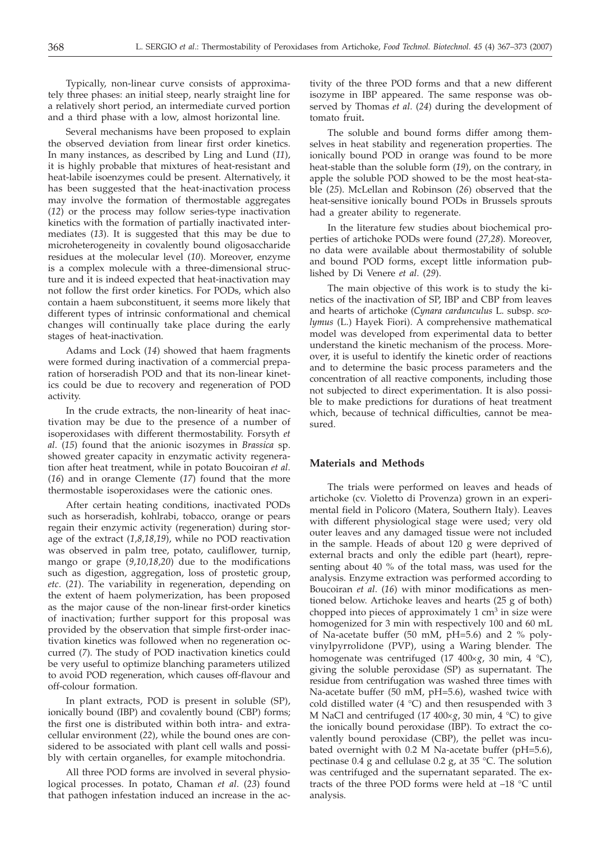Typically, non-linear curve consists of approximately three phases: an initial steep, nearly straight line for a relatively short period, an intermediate curved portion and a third phase with a low, almost horizontal line.

Several mechanisms have been proposed to explain the observed deviation from linear first order kinetics. In many instances, as described by Ling and Lund (*11*), it is highly probable that mixtures of heat-resistant and heat-labile isoenzymes could be present. Alternatively, it has been suggested that the heat-inactivation process may involve the formation of thermostable aggregates (*12*) or the process may follow series-type inactivation kinetics with the formation of partially inactivated intermediates (*13*). It is suggested that this may be due to microheterogeneity in covalently bound oligosaccharide residues at the molecular level (*10*). Moreover, enzyme is a complex molecule with a three-dimensional structure and it is indeed expected that heat-inactivation may not follow the first order kinetics. For PODs, which also contain a haem subconstituent, it seems more likely that different types of intrinsic conformational and chemical changes will continually take place during the early stages of heat-inactivation.

Adams and Lock (*14*) showed that haem fragments were formed during inactivation of a commercial preparation of horseradish POD and that its non-linear kinetics could be due to recovery and regeneration of POD activity.

In the crude extracts, the non-linearity of heat inactivation may be due to the presence of a number of isoperoxidases with different thermostability. Forsyth *et al*. (*15*) found that the anionic isozymes in *Brassica* sp. showed greater capacity in enzymatic activity regeneration after heat treatment, while in potato Boucoiran *et al*. (*16*) and in orange Clemente (*17*) found that the more thermostable isoperoxidases were the cationic ones.

After certain heating conditions, inactivated PODs such as horseradish, kohlrabi, tobacco, orange or pears regain their enzymic activity (regeneration) during storage of the extract (*1,8,18,19*), while no POD reactivation was observed in palm tree, potato, cauliflower, turnip, mango or grape (*9,10,18,20*) due to the modifications such as digestion, aggregation, loss of prostetic group, *etc*. (*21*). The variability in regeneration, depending on the extent of haem polymerization, has been proposed as the major cause of the non-linear first-order kinetics of inactivation; further support for this proposal was provided by the observation that simple first-order inactivation kinetics was followed when no regeneration occurred (*7*). The study of POD inactivation kinetics could be very useful to optimize blanching parameters utilized to avoid POD regeneration, which causes off-flavour and off-colour formation.

In plant extracts, POD is present in soluble (SP), ionically bound (IBP) and covalently bound (CBP) forms; the first one is distributed within both intra- and extracellular environment (*22*), while the bound ones are considered to be associated with plant cell walls and possibly with certain organelles, for example mitochondria.

All three POD forms are involved in several physiological processes. In potato, Chaman *et al*. (*23*) found that pathogen infestation induced an increase in the activity of the three POD forms and that a new different isozyme in IBP appeared. The same response was observed by Thomas *et al*. (*24*) during the development of tomato fruit**.**

The soluble and bound forms differ among themselves in heat stability and regeneration properties. The ionically bound POD in orange was found to be more heat-stable than the soluble form (*19*), on the contrary, in apple the soluble POD showed to be the most heat-stable (*25*). McLellan and Robinson (*26*) observed that the heat-sensitive ionically bound PODs in Brussels sprouts had a greater ability to regenerate.

In the literature few studies about biochemical properties of artichoke PODs were found (*27,28*). Moreover, no data were available about thermostability of soluble and bound POD forms, except little information published by Di Venere *et al*. (*29*).

The main objective of this work is to study the kinetics of the inactivation of SP, IBP and CBP from leaves and hearts of artichoke (*Cynara cardunculus* L. subsp. *scolymus* (L.) Hayek Fiori). A comprehensive mathematical model was developed from experimental data to better understand the kinetic mechanism of the process. Moreover, it is useful to identify the kinetic order of reactions and to determine the basic process parameters and the concentration of all reactive components, including those not subjected to direct experimentation. It is also possible to make predictions for durations of heat treatment which, because of technical difficulties, cannot be measured.

### **Materials and Methods**

The trials were performed on leaves and heads of artichoke (cv. Violetto di Provenza) grown in an experimental field in Policoro (Matera, Southern Italy). Leaves with different physiological stage were used; very old outer leaves and any damaged tissue were not included in the sample. Heads of about 120 g were deprived of external bracts and only the edible part (heart), representing about 40 % of the total mass, was used for the analysis. Enzyme extraction was performed according to Boucoiran *et al*. (*16*) with minor modifications as mentioned below. Artichoke leaves and hearts (25 g of both) chopped into pieces of approximately  $1 \text{ cm}^3$  in size were homogenized for 3 min with respectively 100 and 60 mL of Na-acetate buffer (50 mM, pH=5.6) and 2 % polyvinylpyrrolidone (PVP), using a Waring blender. The homogenate was centrifuged  $(17 \t 400 \times g, 30 \t min, 4 \t C)$ , giving the soluble peroxidase (SP) as supernatant. The residue from centrifugation was washed three times with Na-acetate buffer (50 mM, pH=5.6), washed twice with cold distilled water (4  $^{\circ}$ C) and then resuspended with 3 M NaCl and centrifuged  $(17 400 \times g, 30 \text{ min}, 4 \degree C)$  to give the ionically bound peroxidase (IBP). To extract the covalently bound peroxidase (CBP), the pellet was incubated overnight with 0.2 M Na-acetate buffer (pH=5.6), pectinase 0.4 g and cellulase 0.2 g, at 35 °C. The solution was centrifuged and the supernatant separated. The extracts of the three POD forms were held at –18 °C until analysis.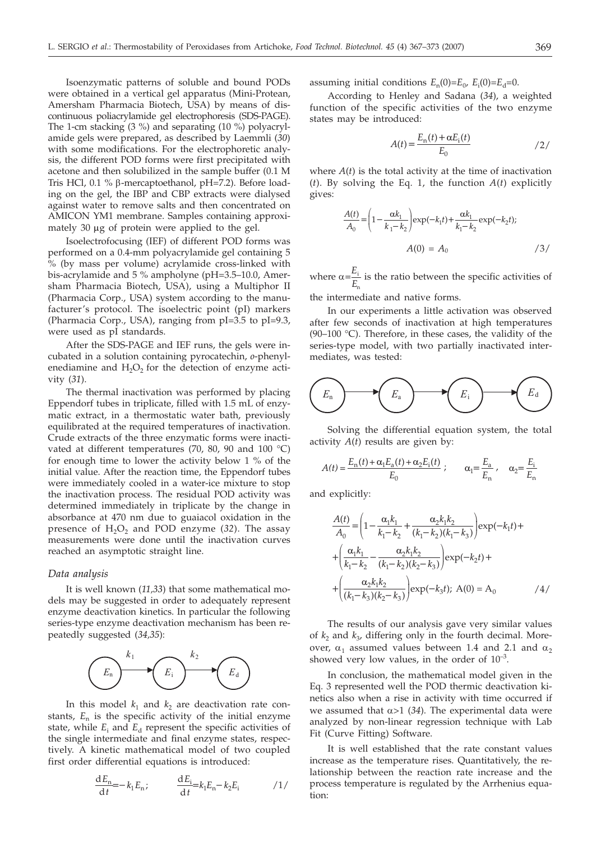Isoenzymatic patterns of soluble and bound PODs were obtained in a vertical gel apparatus (Mini-Protean, Amersham Pharmacia Biotech, USA) by means of discontinuous poliacrylamide gel electrophoresis (SDS-PAGE). The 1-cm stacking (3 %) and separating (10 %) polyacrylamide gels were prepared, as described by Laemmli (*30*) with some modifications. For the electrophoretic analysis, the different POD forms were first precipitated with acetone and then solubilized in the sample buffer (0.1 M Tris HCl, 0.1 % β-mercaptoethanol, pH=7.2). Before loading on the gel, the IBP and CBP extracts were dialysed against water to remove salts and then concentrated on AMICON YM1 membrane. Samples containing approximately 30  $\mu$ g of protein were applied to the gel.

Isoelectrofocusing (IEF) of different POD forms was performed on a 0.4-mm polyacrylamide gel containing 5 % (by mass per volume) acrylamide cross-linked with bis-acrylamide and 5 % ampholyne (pH=3.5–10.0, Amersham Pharmacia Biotech, USA), using a Multiphor II (Pharmacia Corp., USA) system according to the manufacturer's protocol. The isoelectric point (pI) markers (Pharmacia Corp., USA), ranging from pI=3.5 to pI=9.3, were used as pI standards.

After the SDS-PAGE and IEF runs, the gels were incubated in a solution containing pyrocatechin, *o*-phenylenediamine and  $H_2O_2$  for the detection of enzyme activity (*31*).

The thermal inactivation was performed by placing Eppendorf tubes in triplicate, filled with 1.5 mL of enzymatic extract, in a thermostatic water bath, previously equilibrated at the required temperatures of inactivation. Crude extracts of the three enzymatic forms were inactivated at different temperatures (70, 80, 90 and 100 °C) for enough time to lower the activity below 1 % of the initial value. After the reaction time, the Eppendorf tubes were immediately cooled in a water-ice mixture to stop the inactivation process. The residual POD activity was determined immediately in triplicate by the change in absorbance at 470 nm due to guaiacol oxidation in the presence of  $H_2O_2$  and POD enzyme (32). The assay measurements were done until the inactivation curves reached an asymptotic straight line.

#### *Data analysis*

It is well known (*11,33*) that some mathematical models may be suggested in order to adequately represent enzyme deactivation kinetics. In particular the following series-type enzyme deactivation mechanism has been repeatedly suggested (*34,35*):



In this model  $k_1$  and  $k_2$  are deactivation rate constants,  $E_n$  is the specific activity of the initial enzyme state, while  $E_i$  and  $E_d$  represent the specific activities of the single intermediate and final enzyme states, respectively. A kinetic mathematical model of two coupled first order differential equations is introduced:

$$
\frac{dE_n}{dt} = -k_1 E_n; \qquad \frac{dE_i}{dt} = k_1 E_n - k_2 E_i \qquad \qquad / 1 /
$$

assuming initial conditions  $E_n(0)=E_0$ ,  $E_i(0)=E_d=0$ .

According to Henley and Sadana (*34*), a weighted function of the specific activities of the two enzyme states may be introduced:

$$
A(t) = \frac{E_{\rm n}(t) + \alpha E_{\rm i}(t)}{E_0} \tag{2}
$$

where *A*(*t*) is the total activity at the time of inactivation (*t*). By solving the Eq. 1, the function *A*(*t*) explicitly gives:

$$
\frac{A(t)}{A_0} = \left(1 - \frac{\alpha k_1}{k_1 - k_2}\right) \exp(-k_1 t) + \frac{\alpha k_1}{k_1 - k_2} \exp(-k_2 t);
$$
  

$$
A(0) = A_0 \qquad (3)
$$

where  $\alpha = \frac{E}{E}$ *E* i n is the ratio between the specific activities of

the intermediate and native forms.

In our experiments a little activation was observed after few seconds of inactivation at high temperatures (90–100 °C). Therefore, in these cases, the validity of the series-type model, with two partially inactivated intermediates, was tested:

$$
\left(\begin{array}{c}\nE_a \\
\hline\n\end{array}\right)\n\longrightarrow\n\left(\begin{array}{c}\nE_a \\
\hline\n\end{array}\right)\n\longrightarrow\n\left(\begin{array}{c}\nE_d \\
\hline\n\end{array}\right)
$$

Solving the differential equation system, the total activity *A*(*t*) results are given by:

$$
A(t) = \frac{E_n(t) + \alpha_1 E_a(t) + \alpha_2 E_i(t)}{E_0} ; \qquad \alpha_1 = \frac{E_a}{E_n} , \quad \alpha_2 = \frac{E_i}{E_n}
$$

and explicitly:

$$
\frac{A(t)}{A_0} = \left(1 - \frac{\alpha_1 k_1}{k_1 - k_2} + \frac{\alpha_2 k_1 k_2}{(k_1 - k_2)(k_1 - k_3)}\right) \exp(-k_1 t) +
$$
\n
$$
+ \left(\frac{\alpha_1 k_1}{k_1 - k_2} - \frac{\alpha_2 k_1 k_2}{(k_1 - k_2)(k_2 - k_3)}\right) \exp(-k_2 t) +
$$
\n
$$
+ \left(\frac{\alpha_2 k_1 k_2}{(k_1 - k_3)(k_2 - k_3)}\right) \exp(-k_3 t); \quad A(0) = A_0 \qquad (4)
$$

The results of our analysis gave very similar values of  $k_2$  and  $k_3$ , differing only in the fourth decimal. Moreover,  $\alpha_1$  assumed values between 1.4 and 2.1 and  $\alpha_2$ showed very low values, in the order of  $10^{-3}$ .

In conclusion, the mathematical model given in the Eq. 3 represented well the POD thermic deactivation kinetics also when a rise in activity with time occurred if we assumed that  $\alpha$ >1 (34). The experimental data were analyzed by non-linear regression technique with Lab Fit (Curve Fitting) Software.

It is well established that the rate constant values increase as the temperature rises. Quantitatively, the relationship between the reaction rate increase and the process temperature is regulated by the Arrhenius equation: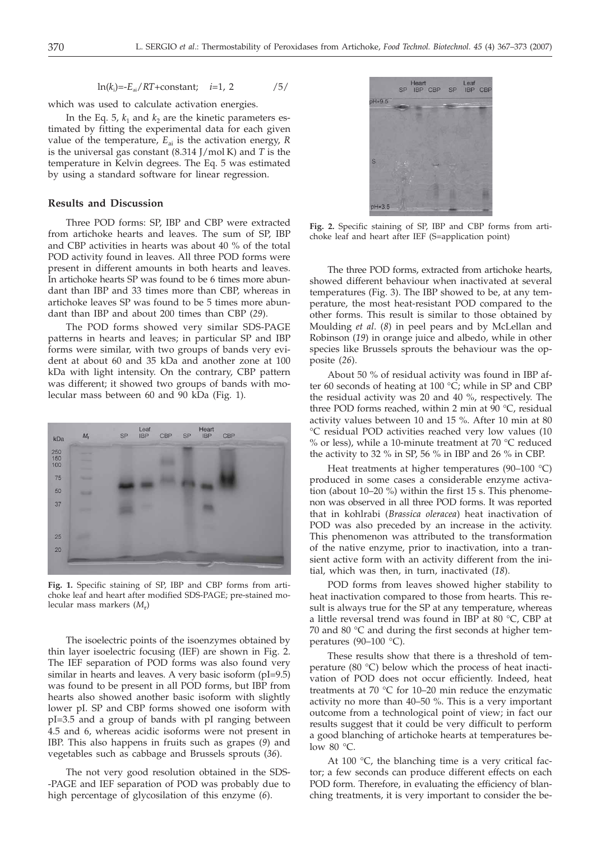ln(*k*<sup>i</sup> )=-*E*ai/*RT*+constant; *i*=1, 2 /5/

which was used to calculate activation energies.

In the Eq. 5,  $k_1$  and  $k_2$  are the kinetic parameters estimated by fitting the experimental data for each given value of the temperature,  $E_{ai}$  is the activation energy,  $R$ is the universal gas constant (8.314 J/mol K) and *T* is the temperature in Kelvin degrees. The Eq. 5 was estimated by using a standard software for linear regression.

# **Results and Discussion**

Three POD forms: SP, IBP and CBP were extracted from artichoke hearts and leaves. The sum of SP, IBP and CBP activities in hearts was about 40 % of the total POD activity found in leaves. All three POD forms were present in different amounts in both hearts and leaves. In artichoke hearts SP was found to be 6 times more abundant than IBP and 33 times more than CBP, whereas in artichoke leaves SP was found to be 5 times more abundant than IBP and about 200 times than CBP (*29*).

The POD forms showed very similar SDS-PAGE patterns in hearts and leaves; in particular SP and IBP forms were similar, with two groups of bands very evident at about 60 and 35 kDa and another zone at 100 kDa with light intensity. On the contrary, CBP pattern was different; it showed two groups of bands with molecular mass between 60 and 90 kDa (Fig. 1).



**Fig. 1.** Specific staining of SP, IBP and CBP forms from artichoke leaf and heart after modified SDS-PAGE; pre-stained molecular mass markers (*M*r)

The isoelectric points of the isoenzymes obtained by thin layer isoelectric focusing (IEF) are shown in Fig. 2. The IEF separation of POD forms was also found very similar in hearts and leaves. A very basic isoform (pI=9.5) was found to be present in all POD forms, but IBP from hearts also showed another basic isoform with slightly lower pI. SP and CBP forms showed one isoform with pI=3.5 and a group of bands with pI ranging between 4.5 and 6, whereas acidic isoforms were not present in IBP. This also happens in fruits such as grapes (*9*) and vegetables such as cabbage and Brussels sprouts (*36*).

The not very good resolution obtained in the SDS- -PAGE and IEF separation of POD was probably due to high percentage of glycosilation of this enzyme (*6*).



**Fig. 2.** Specific staining of SP, IBP and CBP forms from artichoke leaf and heart after IEF (S=application point)

The three POD forms, extracted from artichoke hearts, showed different behaviour when inactivated at several temperatures (Fig. 3). The IBP showed to be, at any temperature, the most heat-resistant POD compared to the other forms. This result is similar to those obtained by Moulding *et al*. (*8*) in peel pears and by McLellan and Robinson (*19*) in orange juice and albedo, while in other species like Brussels sprouts the behaviour was the opposite (*26*).

About 50 % of residual activity was found in IBP after 60 seconds of heating at 100  $\degree$ C; while in SP and CBP the residual activity was 20 and 40 %, respectively. The three POD forms reached, within 2 min at 90 °C, residual activity values between 10 and 15 %. After 10 min at 80 °C residual POD activities reached very low values (10 % or less), while a 10-minute treatment at 70 °C reduced the activity to 32 % in SP, 56 % in IBP and 26 % in CBP.

Heat treatments at higher temperatures (90–100 °C) produced in some cases a considerable enzyme activation (about 10–20 %) within the first 15 s. This phenomenon was observed in all three POD forms. It was reported that in kohlrabi (*Brassica oleracea*) heat inactivation of POD was also preceded by an increase in the activity. This phenomenon was attributed to the transformation of the native enzyme, prior to inactivation, into a transient active form with an activity different from the initial, which was then, in turn, inactivated (*18*).

POD forms from leaves showed higher stability to heat inactivation compared to those from hearts. This result is always true for the SP at any temperature, whereas a little reversal trend was found in IBP at 80 °C, CBP at 70 and 80 °C and during the first seconds at higher temperatures (90–100  $^{\circ}$ C).

These results show that there is a threshold of temperature (80 °C) below which the process of heat inactivation of POD does not occur efficiently. Indeed, heat treatments at 70 °C for 10–20 min reduce the enzymatic activity no more than 40–50 %. This is a very important outcome from a technological point of view; in fact our results suggest that it could be very difficult to perform a good blanching of artichoke hearts at temperatures below 80 °C.

At 100 $\degree$ C, the blanching time is a very critical factor; a few seconds can produce different effects on each POD form. Therefore, in evaluating the efficiency of blanching treatments, it is very important to consider the be-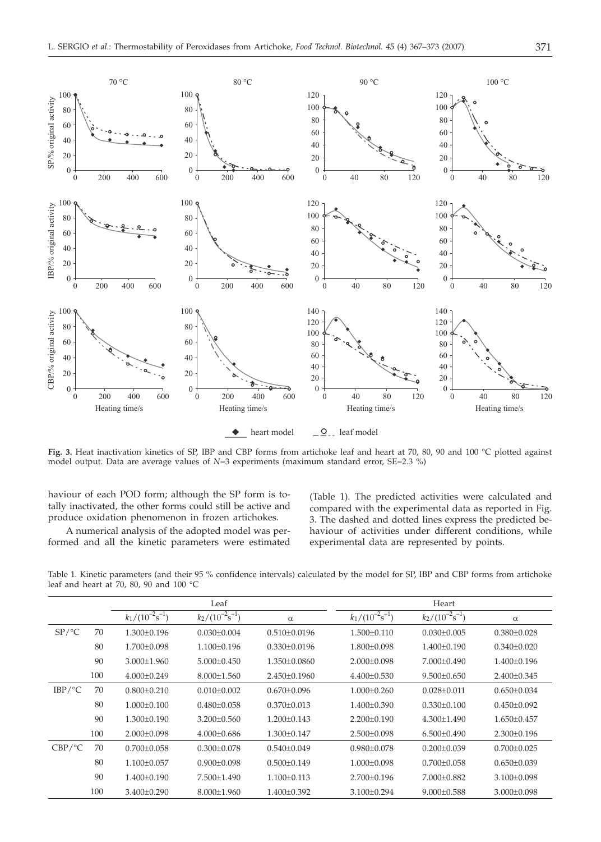

**Fig. 3.** Heat inactivation kinetics of SP, IBP and CBP forms from artichoke leaf and heart at 70, 80, 90 and 100 °C plotted against model output. Data are average values of *N*=3 experiments (maximum standard error, SE=2.3 %)

haviour of each POD form; although the SP form is totally inactivated, the other forms could still be active and produce oxidation phenomenon in frozen artichokes.

A numerical analysis of the adopted model was performed and all the kinetic parameters were estimated (Table 1). The predicted activities were calculated and compared with the experimental data as reported in Fig. 3. The dashed and dotted lines express the predicted behaviour of activities under different conditions, while experimental data are represented by points.

Table 1. Kinetic parameters (and their 95 % confidence intervals) calculated by the model for SP, IBP and CBP forms from artichoke leaf and heart at 70, 80, 90 and 100 °C

|                     |     | Leaf                  |                       | Heart              |                       |                       |                   |
|---------------------|-----|-----------------------|-----------------------|--------------------|-----------------------|-----------------------|-------------------|
|                     |     | $k_1/(10^{-2}s^{-1})$ | $k_2/(10^{-2}s^{-1})$ | $\alpha$           | $k_1/(10^{-2}s^{-1})$ | $k_2/(10^{-2}s^{-1})$ | $\alpha$          |
| SP / C              | 70  | $1.300 \pm 0.196$     | $0.030 \pm 0.004$     | $0.510\pm0.0196$   | $1.500 \pm 0.110$     | $0.030 \pm 0.005$     | $0.380 \pm 0.028$ |
|                     | 80  | $1.700 \pm 0.098$     | $1.100 \pm 0.196$     | $0.330 \pm 0.0196$ | $1.800 \pm 0.098$     | $1.400\pm0.190$       | $0.340 \pm 0.020$ |
|                     | 90  | $3.000 \pm 1.960$     | $5.000 \pm 0.450$     | $1.350\pm0.0860$   | $2.000\pm0.098$       | $7.000\pm0.490$       | $1.400 \pm 0.196$ |
|                     | 100 | $4.000\pm0.249$       | $8.000 \pm 1.560$     | $2.450\pm0.1960$   | $4.400\pm0.530$       | $9.500 \pm 0.650$     | $2.400 \pm 0.345$ |
| $IBP/\textdegree C$ | 70  | $0.800 \pm 0.210$     | $0.010 \pm 0.002$     | $0.670 \pm 0.096$  | $1.000 \pm 0.260$     | $0.028 \pm 0.011$     | $0.650 \pm 0.034$ |
|                     | 80  | $1.000 \pm 0.100$     | $0.480 \pm 0.058$     | $0.370 \pm 0.013$  | $1.400\pm0.390$       | $0.330 \pm 0.100$     | $0.450 \pm 0.092$ |
|                     | 90  | $1.300 \pm 0.190$     | $3.200 \pm 0.560$     | $1.200 \pm 0.143$  | $2.200 \pm 0.190$     | $4.300 \pm 1.490$     | $1.650 \pm 0.457$ |
|                     | 100 | $2.000\pm0.098$       | $4.000\pm0.686$       | $1.300 \pm 0.147$  | $2.500\pm0.098$       | $6.500\pm0.490$       | $2.300 \pm 0.196$ |
| CBP/°C              | 70  | $0.700 \pm 0.058$     | $0.300 \pm 0.078$     | $0.540 \pm 0.049$  | $0.980 \pm 0.078$     | $0.200 \pm 0.039$     | $0.700 \pm 0.025$ |
|                     | 80  | $1.100\pm0.057$       | $0.900 \pm 0.098$     | $0.500 \pm 0.149$  | $1.000\pm0.098$       | $0.700 \pm 0.058$     | $0.650 \pm 0.039$ |
|                     | 90  | $1.400 \pm 0.190$     | 7.500±1.490           | $1.100 \pm 0.113$  | $2.700 \pm 0.196$     | $7.000\pm0.882$       | $3.100 \pm 0.098$ |
|                     | 100 | 3.400±0.290           | $8.000 \pm 1.960$     | $1.400 \pm 0.392$  | $3.100 \pm 0.294$     | $9.000 \pm 0.588$     | $3.000 \pm 0.098$ |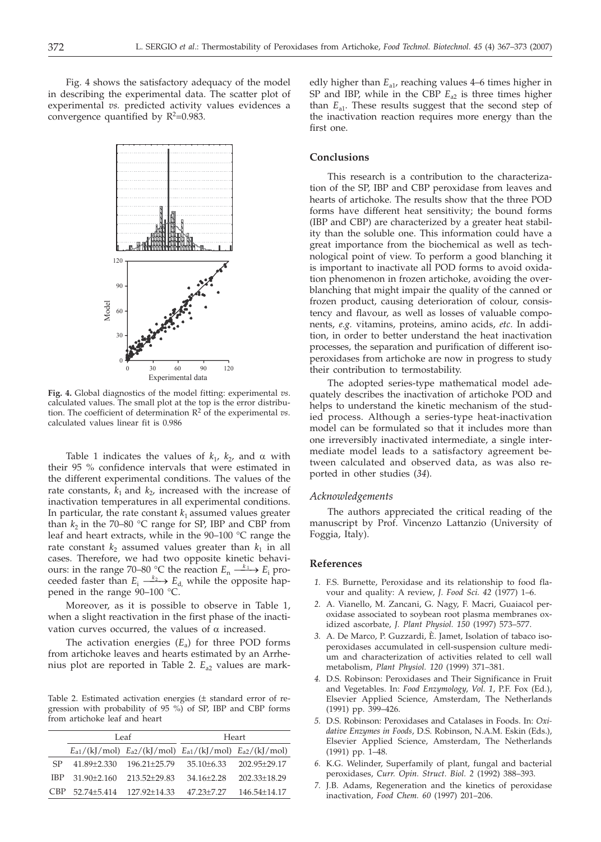Fig. 4 shows the satisfactory adequacy of the model in describing the experimental data. The scatter plot of experimental *vs.* predicted activity values evidences a convergence quantified by  $R^2=0.983$ .



**Fig. 4.** Global diagnostics of the model fitting: experimental *vs*. calculated values. The small plot at the top is the error distribution. The coefficient of determination R<sup>2</sup> of the experimental *vs*. calculated values linear fit is 0.986

Table 1 indicates the values of  $k_1$ ,  $k_2$ , and  $\alpha$  with their 95 % confidence intervals that were estimated in the different experimental conditions. The values of the rate constants,  $k_1$  and  $k_2$ , increased with the increase of inactivation temperatures in all experimental conditions. In particular, the rate constant  $k_1$  assumed values greater than  $k_2$  in the 70–80 °C range for SP, IBP and CBP from leaf and heart extracts, while in the 90–100 °C range the rate constant  $k_2$  assumed values greater than  $k_1$  in all cases. Therefore, we had two opposite kinetic behaviours: in the range 70–80 °C the reaction  $E_n \xrightarrow{k_1} E_i$  proceeded faster than  $E_i \xrightarrow{k_2} E_d$ , while the opposite happened in the range 90–100 °C.

Moreover, as it is possible to observe in Table 1, when a slight reactivation in the first phase of the inactivation curves occurred, the values of  $\alpha$  increased.

The activation energies  $(E_a)$  for three POD forms from artichoke leaves and hearts estimated by an Arrhenius plot are reported in Table 2. *E*<sub>a2</sub> values are mark-

Table 2. Estimated activation energies (± standard error of regression with probability of 95 %) of SP, IBP and CBP forms from artichoke leaf and heart

|       |                   | Leaf         | Heart                                                                   |                  |  |
|-------|-------------------|--------------|-------------------------------------------------------------------------|------------------|--|
|       |                   |              | $E_{a1}/(kJ/mol)$ $E_{a2}/(kJ/mol)$ $E_{a1}/(kJ/mol)$ $E_{a2}/(kJ/mol)$ |                  |  |
| SP.   | 41.89+2.330       | 196.21+25.79 | $35.10 + 6.33$                                                          | 202.95+29.17     |  |
|       | $IBP$ 31.90+2.160 | 213.52+29.83 | $34.16 + 2.28$                                                          | $202.33 + 18.29$ |  |
| C'BP. | 52.74+5.414       | 127.92+14.33 | $47.23 + 7.27$                                                          | 146.54+14.17     |  |

edly higher than  $E_{a1}$ , reaching values 4–6 times higher in SP and IBP, while in the CBP  $E_{a2}$  is three times higher than  $E_{a1}$ . These results suggest that the second step of the inactivation reaction requires more energy than the first one.

## **Conclusions**

This research is a contribution to the characterization of the SP, IBP and CBP peroxidase from leaves and hearts of artichoke. The results show that the three POD forms have different heat sensitivity; the bound forms (IBP and CBP) are characterized by a greater heat stability than the soluble one. This information could have a great importance from the biochemical as well as technological point of view. To perform a good blanching it is important to inactivate all POD forms to avoid oxidation phenomenon in frozen artichoke, avoiding the overblanching that might impair the quality of the canned or frozen product, causing deterioration of colour, consistency and flavour, as well as losses of valuable components, *e.g.* vitamins, proteins, amino acids, *etc*. In addition, in order to better understand the heat inactivation processes, the separation and purification of different isoperoxidases from artichoke are now in progress to study their contribution to termostability.

The adopted series-type mathematical model adequately describes the inactivation of artichoke POD and helps to understand the kinetic mechanism of the studied process. Although a series-type heat-inactivation model can be formulated so that it includes more than one irreversibly inactivated intermediate, a single intermediate model leads to a satisfactory agreement between calculated and observed data, as was also reported in other studies (*34*).

#### *Acknowledgements*

The authors appreciated the critical reading of the manuscript by Prof. Vincenzo Lattanzio (University of Foggia, Italy).

#### **References**

- *1.* F.S. Burnette, Peroxidase and its relationship to food flavour and quality: A review, *J. Food Sci. 42* (1977) 1–6.
- *2.* A. Vianello, M. Zancani, G. Nagy, F. Macri, Guaiacol peroxidase associated to soybean root plasma membranes oxidized ascorbate, *J. Plant Physiol. 150* (1997) 573–577.
- *3.* A. De Marco, P. Guzzardi, È. Jamet, Isolation of tabaco isoperoxidases accumulated in cell-suspension culture medium and characterization of activities related to cell wall metabolism, *Plant Physiol. 120* (1999) 371–381.
- *4.* D.S. Robinson: Peroxidases and Their Significance in Fruit and Vegetables. In: *Food Enzymology*, *Vol. 1*, P.F. Fox (Ed.), Elsevier Applied Science, Amsterdam, The Netherlands (1991) pp. 399–426.
- *5.* D.S. Robinson: Peroxidases and Catalases in Foods. In: *Oxidative Enzymes in Foods*, D.S. Robinson, N.A.M. Eskin (Eds.), Elsevier Applied Science, Amsterdam, The Netherlands (1991) pp. 1–48.
- *6.* K.G. Welinder, Superfamily of plant, fungal and bacterial peroxidases, *Curr. Opin. Struct. Biol. 2* (1992) 388–393.
- *7.* J.B. Adams, Regeneration and the kinetics of peroxidase inactivation, *Food Chem. 60* (1997) 201–206.